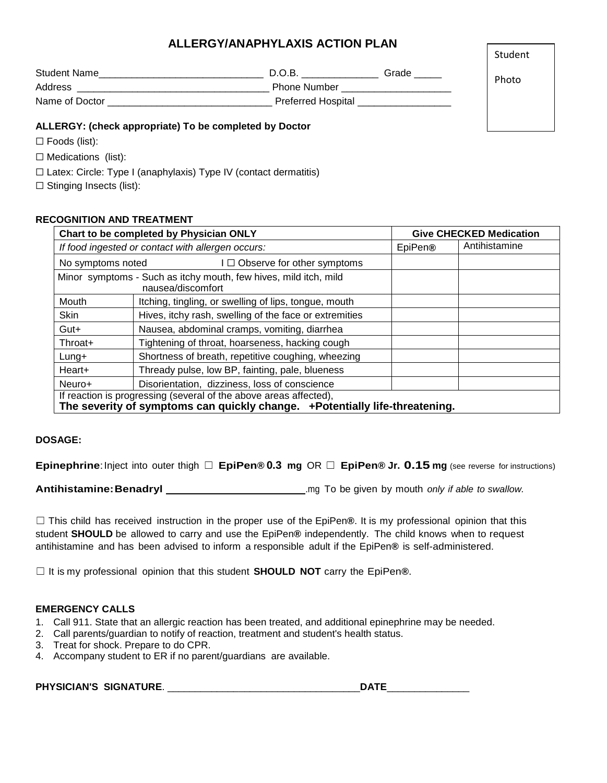# **ALLERGY/ANAPHYLAXIS ACTION PLAN**

| Student Name   | D.O.B.                    | Grade |
|----------------|---------------------------|-------|
| Address        | <b>Phone Number</b>       |       |
| Name of Doctor | <b>Preferred Hospital</b> |       |

# **ALLERGY: (check appropriate) To be completed by Doctor**

☐ Foods (list):

☐ Medications (list):

☐ Latex: Circle: Type I (anaphylaxis) Type IV (contact dermatitis)

☐ Stinging Insects (list):

# **RECOGNITION AND TREATMENT**

| Chart to be completed by Physician ONLY                                                                                                          |                                                        | <b>Give CHECKED Medication</b>       |  |  |
|--------------------------------------------------------------------------------------------------------------------------------------------------|--------------------------------------------------------|--------------------------------------|--|--|
|                                                                                                                                                  | If food ingested or contact with allergen occurs:      | Antihistamine<br>EpiPen <sup>®</sup> |  |  |
| No symptoms noted                                                                                                                                | I □ Observe for other symptoms                         |                                      |  |  |
| Minor symptoms - Such as itchy mouth, few hives, mild itch, mild<br>nausea/discomfort                                                            |                                                        |                                      |  |  |
| Mouth                                                                                                                                            | Itching, tingling, or swelling of lips, tongue, mouth  |                                      |  |  |
| <b>Skin</b>                                                                                                                                      | Hives, itchy rash, swelling of the face or extremities |                                      |  |  |
| Gut+                                                                                                                                             | Nausea, abdominal cramps, vomiting, diarrhea           |                                      |  |  |
| Throat+                                                                                                                                          | Tightening of throat, hoarseness, hacking cough        |                                      |  |  |
| Shortness of breath, repetitive coughing, wheezing<br>$L$ ung+                                                                                   |                                                        |                                      |  |  |
| Thready pulse, low BP, fainting, pale, blueness<br>Heart+                                                                                        |                                                        |                                      |  |  |
| Disorientation, dizziness, loss of conscience<br>Neuro+                                                                                          |                                                        |                                      |  |  |
| If reaction is progressing (several of the above areas affected),<br>The severity of symptoms can quickly change. +Potentially life-threatening. |                                                        |                                      |  |  |

### **DOSAGE:**

**Epinephrine**:Inject into outer thigh ☐ **EpiPen® 0.3 mg** OR ☐ **EpiPen® Jr. 0.15 mg** (see reverse for instructions)

**Antihistamine:Benadryl** .mg To be given by mouth *only if able to swallow.*

☐ This child has received instruction in the proper use of the EpiPen**®**. It is my professional opinion that this student **SHOULD** be allowed to carry and use the EpiPen**®** independently. The child knows when to request antihistamine and has been advised to inform a responsible adult if the EpiPen**®** is self-administered.

☐ It is my professional opinion that this student **SHOULD NOT** carry the EpiPen**®**.

### **EMERGENCY CALLS**

- 1. Call 911. State that an allergic reaction has been treated, and additional epinephrine may be needed.
- 2. Call parents/guardian to notify of reaction, treatment and student's health status.
- 3. Treat for shock. Prepare to do CPR.
- 4. Accompany student to ER if no parent/guardians are available.

**PHYSICIAN'S SIGNATURE**. \_\_\_\_\_\_\_\_\_\_\_\_\_\_\_\_\_\_\_\_\_\_\_\_\_\_\_\_\_\_\_\_\_\_\_**DATE**\_\_\_\_\_\_\_\_\_\_\_\_\_\_\_

Student

Photo